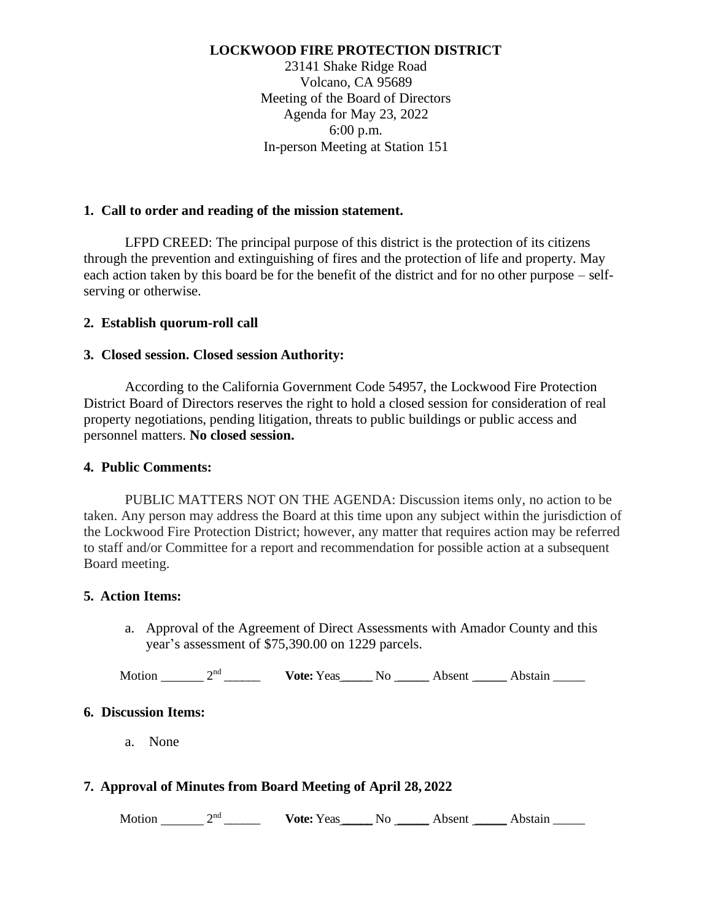### **LOCKWOOD FIRE PROTECTION DISTRICT**

23141 Shake Ridge Road Volcano, CA 95689 Meeting of the Board of Directors Agenda for May 23, 2022 6:00 p.m. In-person Meeting at Station 151

### **1. Call to order and reading of the mission statement.**

LFPD CREED: The principal purpose of this district is the protection of its citizens through the prevention and extinguishing of fires and the protection of life and property. May each action taken by this board be for the benefit of the district and for no other purpose – selfserving or otherwise.

### **2. Establish quorum-roll call**

#### **3. Closed session. Closed session Authority:**

According to the California Government Code 54957, the Lockwood Fire Protection District Board of Directors reserves the right to hold a closed session for consideration of real property negotiations, pending litigation, threats to public buildings or public access and personnel matters. **No closed session.**

#### **4. Public Comments:**

PUBLIC MATTERS NOT ON THE AGENDA: Discussion items only, no action to be taken. Any person may address the Board at this time upon any subject within the jurisdiction of the Lockwood Fire Protection District; however, any matter that requires action may be referred to staff and/or Committee for a report and recommendation for possible action at a subsequent Board meeting.

#### **5. Action Items:**

a. Approval of the Agreement of Direct Assessments with Amador County and this year's assessment of \$75,390.00 on 1229 parcels.

Motion 2<sup>nd</sup> Vote: Yeas No Absent Abstain 2

#### **6. Discussion Items:**

a. None

## **7. Approval of Minutes from Board Meeting of April 28, 2022**

Motion 2<sup>nd</sup> Vote: Yeas No Absent Abstain 2